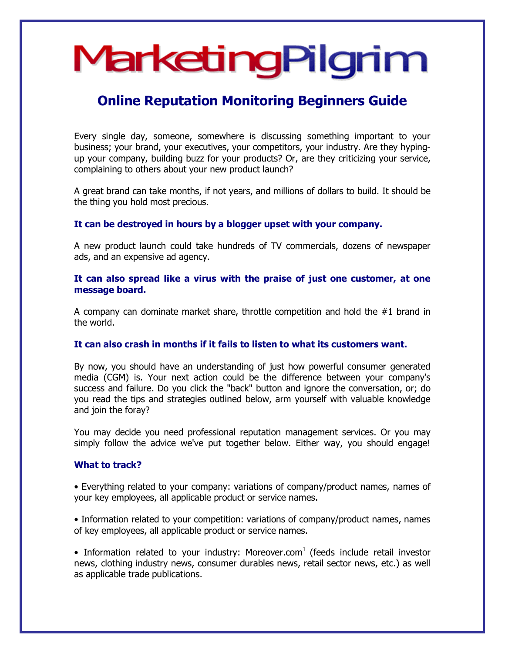# MarketingPilgrim

## **Online Reputation Monitoring Beginners Guide**

Every single day, someone, somewhere is discussing something important to your business; your brand, your executives, your competitors, your industry. Are they hypingup your company, building buzz for your products? Or, are they criticizing your service, complaining to others about your new product launch?

A great brand can take months, if not years, and millions of dollars to build. It should be the thing you hold most precious.

## **It can be destroyed in hours by a blogger upset with your company.**

A new product launch could take hundreds of TV commercials, dozens of newspaper ads, and an expensive ad agency.

## **It can also spread like a virus with the praise of just one customer, at one message board.**

A company can dominate market share, throttle competition and hold the #1 brand in the world.

#### **It can also crash in months if it fails to listen to what its customers want.**

By now, you should have an understanding of just how powerful consumer generated media (CGM) is. Your next action could be the difference between your company's success and failure. Do you click the "back" button and ignore the conversation, or; do you read the tips and strategies outlined below, arm yourself with valuable knowledge and join the foray?

You may decide you need professional reputation management services. Or you may simply follow the advice we've put together below. Either way, you should engage!

#### **What to track?**

• Everything related to your company: variations of company/product names, names of your key employees, all applicable product or service names.

• Information related to your competition: variations of company/product names, names of key employees, all applicable product or service names.

• Information related to your industry: Moreover.com<sup>1</sup> (feeds include retail investor news, clothing industry news, consumer durables news, retail sector news, etc.) as well as applicable trade publications.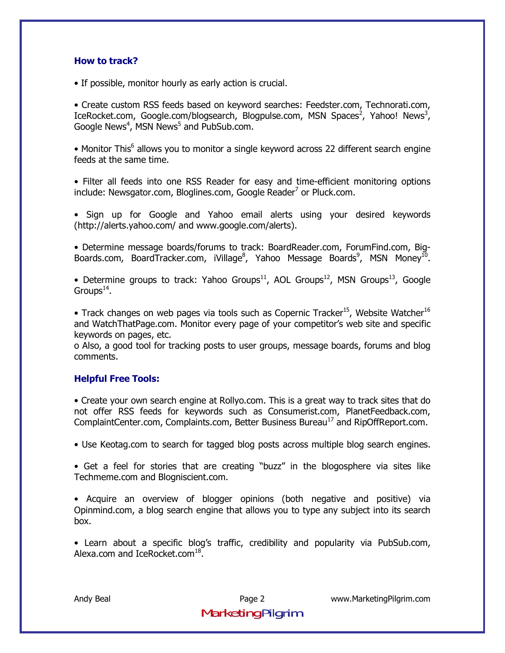#### **How to track?**

• If possible, monitor hourly as early action is crucial.

• Create custom RSS feeds based on keyword searches: Feedster.com, Technorati.com, IceRocket.com, Google.com/blogsearch, Blogpulse.com, MSN Spaces<sup>2</sup>, Yahoo! News<sup>3</sup>, Google News<sup>4</sup>, MSN News<sup>5</sup> and PubSub.com.

• Monitor This<sup>6</sup> allows you to monitor a single keyword across 22 different search engine feeds at the same time.

• Filter all feeds into one RSS Reader for easy and time-efficient monitoring options include: Newsgator.com, Bloglines.com, Google Reader<sup>7</sup> or Pluck.com.

• Sign up for Google and Yahoo email alerts using your desired keywords (http://alerts.yahoo.com/ and www.google.com/alerts).

ï Determine message boards/forums to track: BoardReader.com, ForumFind.com, Big-Boards.com, BoardTracker.com, iVillage<sup>8</sup>, Yahoo Message Boards<sup>9</sup>, MSN Money<sup>10</sup>.

• Determine groups to track: Yahoo Groups<sup>11</sup>, AOL Groups<sup>12</sup>, MSN Groups<sup>13</sup>, Google Groups $^{14}$ .

• Track changes on web pages via tools such as Copernic Tracker<sup>15</sup>, Website Watcher<sup>16</sup> and WatchThatPage.com. Monitor every page of your competitor's web site and specific keywords on pages, etc.

o Also, a good tool for tracking posts to user groups, message boards, forums and blog comments.

## **Helpful Free Tools:**

• Create your own search engine at Rollyo.com. This is a great way to track sites that do not offer RSS feeds for keywords such as Consumerist.com, PlanetFeedback.com, ComplaintCenter.com, Complaints.com, Better Business Bureau<sup>17</sup> and RipOffReport.com.

• Use Keotag.com to search for tagged blog posts across multiple blog search engines.

• Get a feel for stories that are creating "buzz" in the blogosphere via sites like Techmeme.com and Blogniscient.com.

• Acquire an overview of blogger opinions (both negative and positive) via Opinmind.com, a blog search engine that allows you to type any subject into its search box.

• Learn about a specific blog's traffic, credibility and popularity via PubSub.com, Alexa.com and IceRocket.com $^{18}$ .

MarketingPilgrim

Andy Beal Page 2 www.MarketingPilgrim.com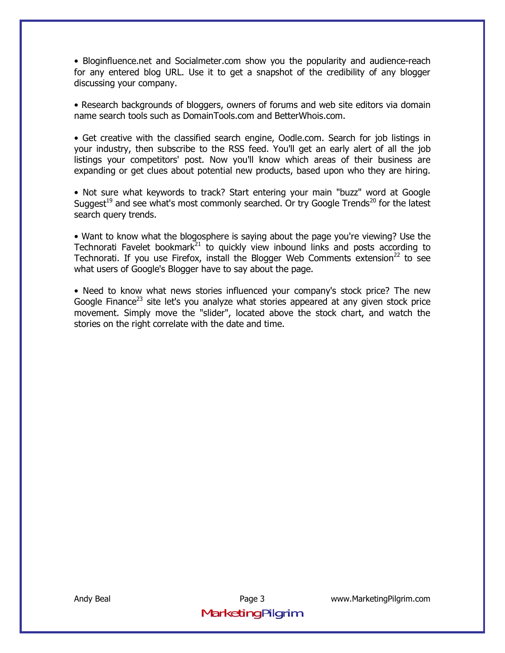• Bloginfluence.net and Socialmeter.com show you the popularity and audience-reach for any entered blog URL. Use it to get a snapshot of the credibility of any blogger discussing your company.

• Research backgrounds of bloggers, owners of forums and web site editors via domain name search tools such as DomainTools.com and BetterWhois.com.

• Get creative with the classified search engine, Oodle.com. Search for job listings in your industry, then subscribe to the RSS feed. You'll get an early alert of all the job listings your competitors' post. Now you'll know which areas of their business are expanding or get clues about potential new products, based upon who they are hiring.

• Not sure what keywords to track? Start entering your main "buzz" word at Google Suggest<sup>19</sup> and see what's most commonly searched. Or try Google Trends<sup>20</sup> for the latest search query trends.

• Want to know what the blogosphere is saying about the page you're viewing? Use the Technorati Favelet bookmark<sup>21</sup> to quickly view inbound links and posts according to Technorati. If you use Firefox, install the Blogger Web Comments extension<sup>22</sup> to see what users of Google's Blogger have to say about the page.

• Need to know what news stories influenced your company's stock price? The new Google Finance<sup>23</sup> site let's you analyze what stories appeared at any given stock price movement. Simply move the "slider", located above the stock chart, and watch the stories on the right correlate with the date and time.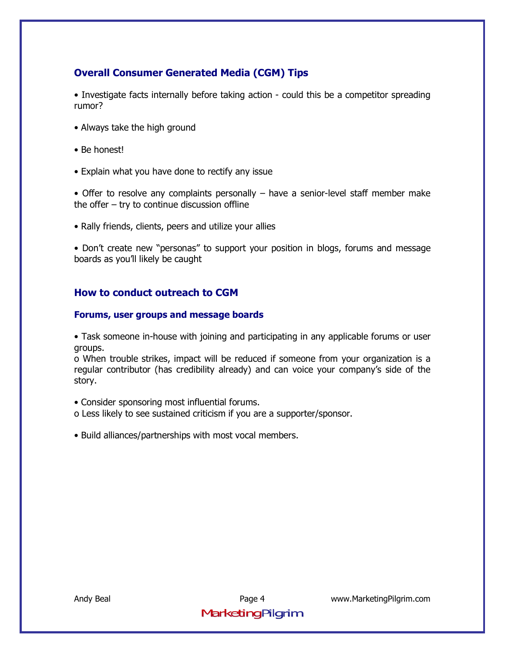## **Overall Consumer Generated Media (CGM) Tips**

• Investigate facts internally before taking action - could this be a competitor spreading rumor?

- Always take the high ground
- Be honest!
- Explain what you have done to rectify any issue

• Offer to resolve any complaints personally  $-$  have a senior-level staff member make the offer  $-$  try to continue discussion offline

• Rally friends, clients, peers and utilize your allies

• Don't create new "personas" to support your position in blogs, forums and message boards as you'll likely be caught

## **How to conduct outreach to CGM**

#### **Forums, user groups and message boards**

• Task someone in-house with joining and participating in any applicable forums or user groups.

o When trouble strikes, impact will be reduced if someone from your organization is a regular contributor (has credibility already) and can voice your companyís side of the story.

- Consider sponsoring most influential forums.
- o Less likely to see sustained criticism if you are a supporter/sponsor.
- Build alliances/partnerships with most vocal members.

Andy Beal Page 4 www.MarketingPilgrim.com MarketingPilgrim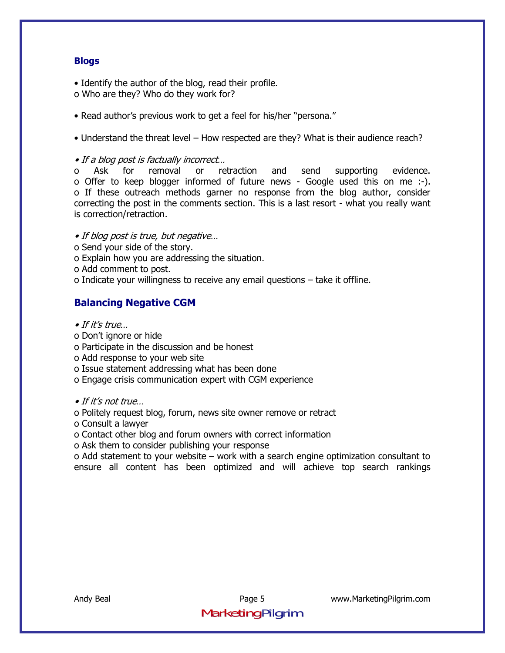## **Blogs**

• Identify the author of the blog, read their profile.

- o Who are they? Who do they work for?
- Read author's previous work to get a feel for his/her "persona."

• Understand the threat level – How respected are they? What is their audience reach?

 $\bullet$  If a blog post is factually incorrect...

o Ask for removal or retraction and send supporting evidence. o Offer to keep blogger informed of future news - Google used this on me :-). o If these outreach methods garner no response from the blog author, consider correcting the post in the comments section. This is a last resort - what you really want is correction/retraction.

• If blog post is true, but negative...

- o Send your side of the story.
- o Explain how you are addressing the situation.
- o Add comment to post.
- o Indicate your willingness to receive any email questions  $-$  take it offline.

## **Balancing Negative CGM**

- $\bullet$  If it's true...
- o Donít ignore or hide
- o Participate in the discussion and be honest
- o Add response to your web site
- o Issue statement addressing what has been done
- o Engage crisis communication expert with CGM experience

 $\bullet$  If it's not true

o Politely request blog, forum, news site owner remove or retract

o Consult a lawyer

o Contact other blog and forum owners with correct information

o Ask them to consider publishing your response

 $\alpha$  Add statement to your website  $-\omega$  work with a search engine optimization consultant to ensure all content has been optimized and will achieve top search rankings

Andy Beal Page 5 www.MarketingPilgrim.com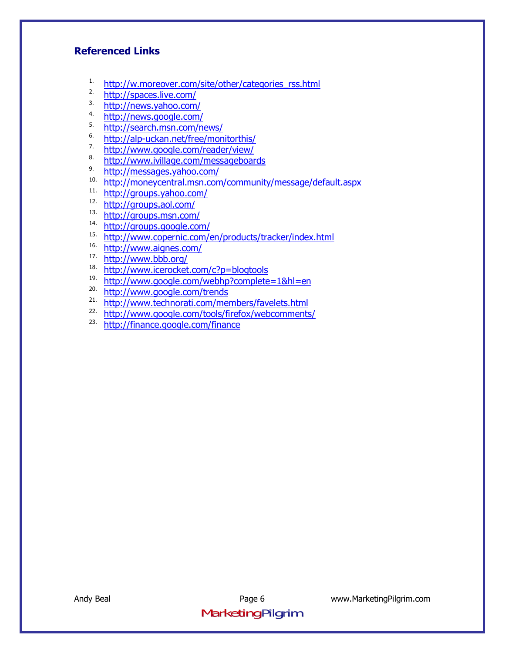## **Referenced Links**

- <sup>1.</sup> http://w.moreover.com/site/other/categories\_rss.html<br><sup>2.</sup> http://spaces.live.com/
- $\frac{\text{http://spaces.live.com/}}{\text{http://naux-xahoo.com/}}$
- $\frac{\text{http://news.yahoo.com/}}{\text{http://name.com/}}$
- $\frac{\text{http://news.google.com/}}{\text{http://coarch men.com/}}$
- $\frac{\text{http://search.msn.com/news/}}{\text{http://sln-uckan.net/froo/mon}}$
- $\frac{6.}{7}$  http://alp-uckan.net/free/monitorthis/
- $\frac{7}{8}$ . http://www.google.com/reader/view/
- 8. http://www.ivillage.com/messageboards
- $^{9}$ . http://messages.yahoo.com/<br> $^{10}$ . http://monevcentral.msp.com
- $\frac{10.}{11.}$  http://moneycentral.msn.com/community/message/default.aspx
- http://groups.yahoo.com/
- $\frac{\text{http://groups.aol.com/}}{\text{http://groups.aol.com/}}$
- $\frac{\text{http://groups.msn.com/}}{14.}$
- $14.$  http://groups.google.com/
- http://www.copernic.com/en/products/tracker/index.html
- 16.  $\frac{http://www.aignes.com/}{http://www.aignes.com/}$
- http://www.bbb.org/
- $\frac{18. \text{http://www.icerocket.com/c?p=blogtools}}{19. \text{http://www.geoocle.com/wobbn2comploto}}$
- http://www.google.com/webhp?complete=1&hl=en
- <sup>20.</sup> http://www.google.com/trends
- $\frac{21.}{12.1}$  http://www.technorati.com/members/favelets.html<br> $\frac{22.}{12.1}$  http://www.google.com/tools/firefox/webcommonte
- $\frac{22.}{ \text{http://www.google.com/tools/firefox/webcomments/}}$ <br>  $\frac{23.}{ \text{http://finznce.google.com/finance}}$
- 23. http://finance.google.com/finance